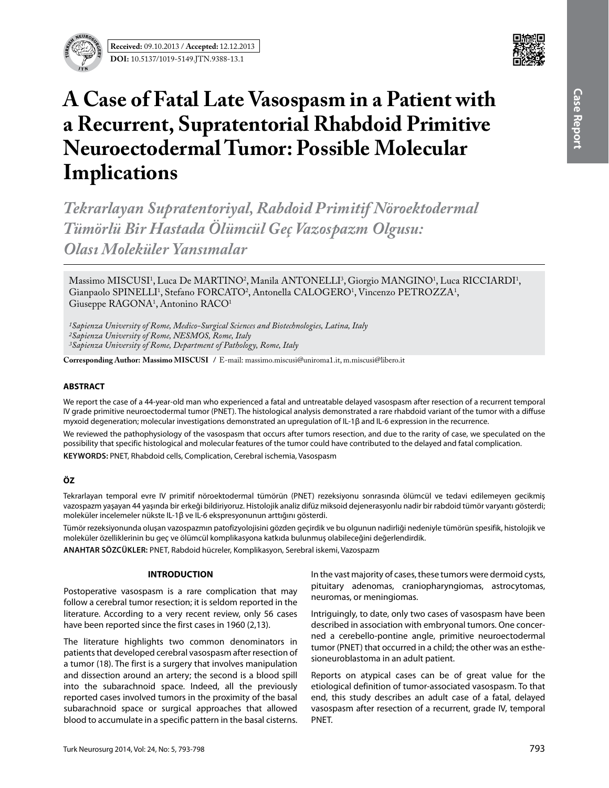

# **A Case of Fatal Late Vasospasm in a Patient with a Recurrent, Supratentorial Rhabdoid Primitive Neuroectodermal Tumor: Possible Molecular Implications**

*Tekrarlayan Supratentoriyal, Rabdoid Primitif Nöroektodermal Tümörlü Bir Hastada Ölümcül Geç Vazospazm Olgusu: Olası Moleküler Yansımalar*

Massimo MISCUSI<sup>1</sup>, Luca De MARTINO<sup>2</sup>, Manila ANTONELLI<sup>3</sup>, Giorgio MANGINO<sup>1</sup>, Luca RICCIARDI<sup>1</sup>, Gianpaolo SPINELLI<sup>1</sup>, Stefano FORCATO<sup>2</sup>, Antonella CALOGERO<sup>1</sup>, Vincenzo PETROZZA<sup>1</sup>, Giuseppe RAGONA1 , Antonino RACO1

*1Sapienza University of Rome, Medico-Surgical Sciences and Biotechnologies, Latina, Italy 2Sapienza University of Rome, NESMOS, Rome, Italy 3Sapienza University of Rome, Department of Pathology, Rome, Italy*

**Corresponding Author: Massimo MISCUSI /** E-mail: massimo.miscusi@uniroma1.it, m.miscusi@libero.it

# **ABSTRACT**

We report the case of a 44-year-old man who experienced a fatal and untreatable delayed vasospasm after resection of a recurrent temporal IV grade primitive neuroectodermal tumor (PNET). The histological analysis demonstrated a rare rhabdoid variant of the tumor with a diffuse myxoid degeneration; molecular investigations demonstrated an upregulation of IL-1β and IL-6 expression in the recurrence.

We reviewed the pathophysiology of the vasospasm that occurs after tumors resection, and due to the rarity of case, we speculated on the possibility that specific histological and molecular features of the tumor could have contributed to the delayed and fatal complication.

**Keywords:** PNET, Rhabdoid cells, Complication, Cerebral ischemia, Vasospasm

# **ÖZ**

Tekrarlayan temporal evre IV primitif nöroektodermal tümörün (PNET) rezeksiyonu sonrasında ölümcül ve tedavi edilemeyen gecikmiş vazospazm yaşayan 44 yaşında bir erkeği bildiriyoruz. Histolojik analiz difüz miksoid dejenerasyonlu nadir bir rabdoid tümör varyantı gösterdi; moleküler incelemeler nükste IL-1β ve IL-6 ekspresyonunun arttığını gösterdi.

Tümör rezeksiyonunda oluşan vazospazmın patofizyolojisini gözden geçirdik ve bu olgunun nadirliği nedeniyle tümörün spesifik, histolojik ve moleküler özelliklerinin bu geç ve ölümcül komplikasyona katkıda bulunmuş olabileceğini değerlendirdik.

**ANAHTAR SÖZCÜKLER:** PNET, Rabdoid hücreler, Komplikasyon, Serebral iskemi, Vazospazm

#### **INTRODUCTION**

Postoperative vasospasm is a rare complication that may follow a cerebral tumor resection; it is seldom reported in the literature. According to a very recent review, only 56 cases have been reported since the first cases in 1960 (2,13).

The literature highlights two common denominators in patients that developed cerebral vasospasm after resection of a tumor (18). The first is a surgery that involves manipulation and dissection around an artery; the second is a blood spill into the subarachnoid space. Indeed, all the previously reported cases involved tumors in the proximity of the basal subarachnoid space or surgical approaches that allowed blood to accumulate in a specific pattern in the basal cisterns.

In the vast majority of cases, these tumors were dermoid cysts, pituitary adenomas, craniopharyngiomas, astrocytomas, neuromas, or meningiomas.

Intriguingly, to date, only two cases of vasospasm have been described in association with embryonal tumors. One concerned a cerebello-pontine angle, primitive neuroectodermal tumor (PNET) that occurred in a child; the other was an esthesioneuroblastoma in an adult patient.

Reports on atypical cases can be of great value for the etiological definition of tumor-associated vasospasm. To that end, this study describes an adult case of a fatal, delayed vasospasm after resection of a recurrent, grade IV, temporal PNET.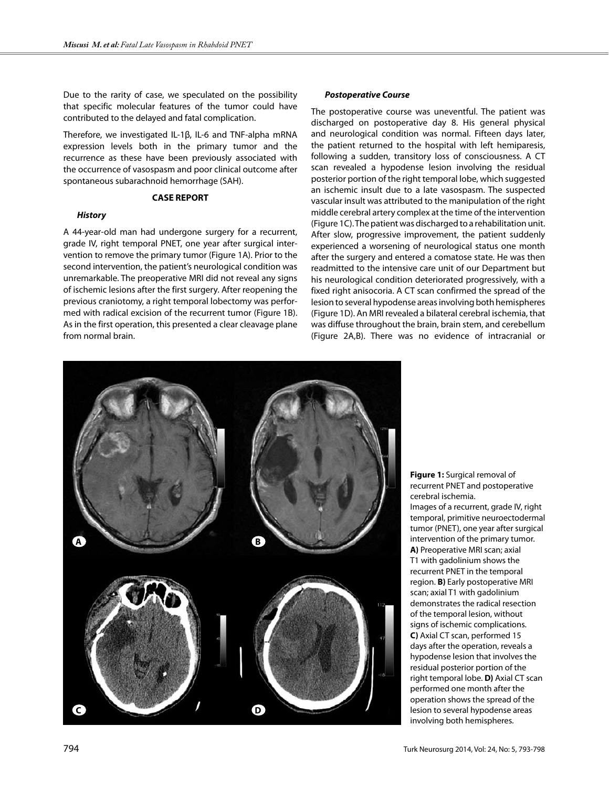Due to the rarity of case, we speculated on the possibility that specific molecular features of the tumor could have contributed to the delayed and fatal complication.

Therefore, we investigated IL-1β, IL-6 and TNF-alpha mRNA expression levels both in the primary tumor and the recurrence as these have been previously associated with the occurrence of vasospasm and poor clinical outcome after spontaneous subarachnoid hemorrhage (SAH).

#### **CASE REPORT**

#### *History*

A 44-year-old man had undergone surgery for a recurrent, grade IV, right temporal PNET, one year after surgical intervention to remove the primary tumor (Figure 1A). Prior to the second intervention, the patient's neurological condition was unremarkable. The preoperative MRI did not reveal any signs of ischemic lesions after the first surgery. After reopening the previous craniotomy, a right temporal lobectomy was performed with radical excision of the recurrent tumor (Figure 1B). As in the first operation, this presented a clear cleavage plane from normal brain.

#### *Postoperative Course*

The postoperative course was uneventful. The patient was discharged on postoperative day 8. His general physical and neurological condition was normal. Fifteen days later, the patient returned to the hospital with left hemiparesis, following a sudden, transitory loss of consciousness. A CT scan revealed a hypodense lesion involving the residual posterior portion of the right temporal lobe, which suggested an ischemic insult due to a late vasospasm. The suspected vascular insult was attributed to the manipulation of the right middle cerebral artery complex at the time of the intervention (Figure 1C). The patient was discharged to a rehabilitation unit. After slow, progressive improvement, the patient suddenly experienced a worsening of neurological status one month after the surgery and entered a comatose state. He was then readmitted to the intensive care unit of our Department but his neurological condition deteriorated progressively, with a fixed right anisocoria. A CT scan confirmed the spread of the lesion to several hypodense areas involving both hemispheres (Figure 1D). An MRI revealed a bilateral cerebral ischemia, that was diffuse throughout the brain, brain stem, and cerebellum (Figure 2A,B). There was no evidence of intracranial or



**Figure 1:** Surgical removal of recurrent PNET and postoperative cerebral ischemia.

Images of a recurrent, grade IV, right temporal, primitive neuroectodermal tumor (PNET), one year after surgical intervention of the primary tumor. **A)** Preoperative MRI scan; axial T1 with gadolinium shows the recurrent PNET in the temporal region. **B)** Early postoperative MRI scan; axial T1 with gadolinium demonstrates the radical resection of the temporal lesion, without signs of ischemic complications. **C)** Axial CT scan, performed 15 days after the operation, reveals a hypodense lesion that involves the residual posterior portion of the right temporal lobe. **D)** Axial CT scan performed one month after the operation shows the spread of the lesion to several hypodense areas involving both hemispheres.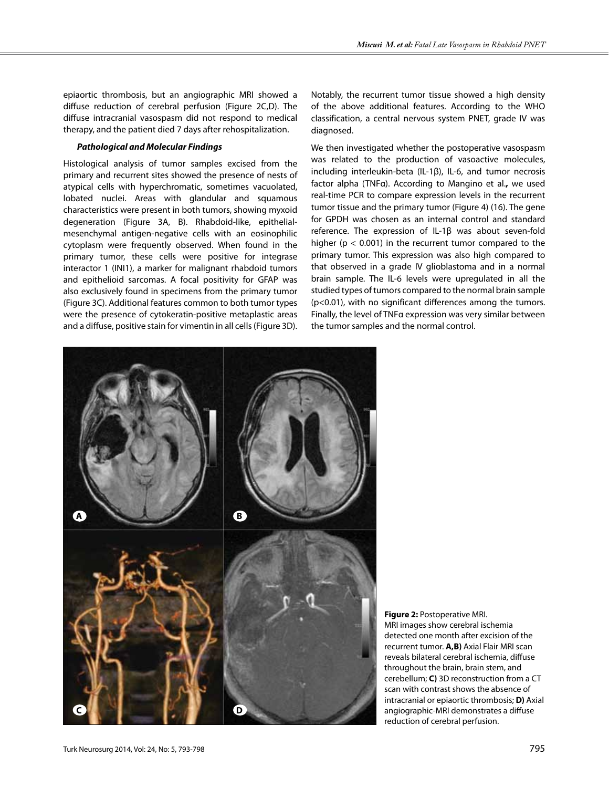epiaortic thrombosis, but an angiographic MRI showed a diffuse reduction of cerebral perfusion (Figure 2C,D). The diffuse intracranial vasospasm did not respond to medical therapy, and the patient died 7 days after rehospitalization.

# *Pathological and Molecular Findings*

Histological analysis of tumor samples excised from the primary and recurrent sites showed the presence of nests of atypical cells with hyperchromatic, sometimes vacuolated, lobated nuclei. Areas with glandular and squamous characteristics were present in both tumors, showing myxoid degeneration (Figure 3A, B). Rhabdoid-like, epithelialmesenchymal antigen-negative cells with an eosinophilic cytoplasm were frequently observed. When found in the primary tumor, these cells were positive for integrase interactor 1 (INI1), a marker for malignant rhabdoid tumors and epithelioid sarcomas. A focal positivity for GFAP was also exclusively found in specimens from the primary tumor (Figure 3C). Additional features common to both tumor types were the presence of cytokeratin-positive metaplastic areas and a diffuse, positive stain for vimentin in all cells (Figure 3D).

Notably, the recurrent tumor tissue showed a high density of the above additional features. According to the WHO classification, a central nervous system PNET, grade IV was diagnosed.

We then investigated whether the postoperative vasospasm was related to the production of vasoactive molecules, including interleukin-beta (IL-1β), IL-6, and tumor necrosis factor alpha (TNFα). According to Mangino et al.**,** we used real-time PCR to compare expression levels in the recurrent tumor tissue and the primary tumor (Figure 4) (16). The gene for GPDH was chosen as an internal control and standard reference. The expression of IL-1β was about seven-fold higher ( $p < 0.001$ ) in the recurrent tumor compared to the primary tumor. This expression was also high compared to that observed in a grade IV glioblastoma and in a normal brain sample. The IL-6 levels were upregulated in all the studied types of tumors compared to the normal brain sample (p<0.01), with no significant differences among the tumors. Finally, the level of TNFα expression was very similar between the tumor samples and the normal control.



**Figure 2:** Postoperative MRI. MRI images show cerebral ischemia detected one month after excision of the recurrent tumor. **A,B)** Axial Flair MRI scan reveals bilateral cerebral ischemia, diffuse throughout the brain, brain stem, and cerebellum; **C)** 3D reconstruction from a CT scan with contrast shows the absence of intracranial or epiaortic thrombosis; **D)** Axial angiographic-MRI demonstrates a diffuse reduction of cerebral perfusion.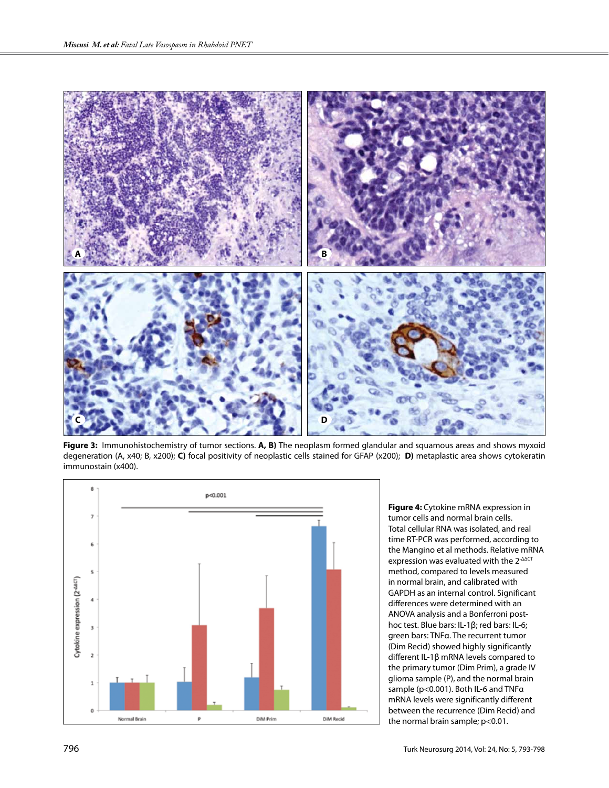

**Figure 3:** Immunohistochemistry of tumor sections. **A, B)** The neoplasm formed glandular and squamous areas and shows myxoid degeneration (A, x40; B, x200); **C)** focal positivity of neoplastic cells stained for GFAP (x200); **D)** metaplastic area shows cytokeratin immunostain (x400).



**Figure 4:** Cytokine mRNA expression in tumor cells and normal brain cells. Total cellular RNA was isolated, and real time RT-PCR was performed, according to the Mangino et al methods. Relative mRNA expression was evaluated with the 2<sup>-ΔΔCT</sup> method, compared to levels measured in normal brain, and calibrated with GAPDH as an internal control. Significant differences were determined with an ANOVA analysis and a Bonferroni posthoc test. Blue bars: IL-1β; red bars: IL-6; green bars: TNFα. The recurrent tumor (Dim Recid) showed highly significantly different IL-1β mRNA levels compared to the primary tumor (Dim Prim), a grade IV glioma sample (P), and the normal brain sample (p<0.001). Both IL-6 and TNFα mRNA levels were significantly different between the recurrence (Dim Recid) and the normal brain sample; p<0.01.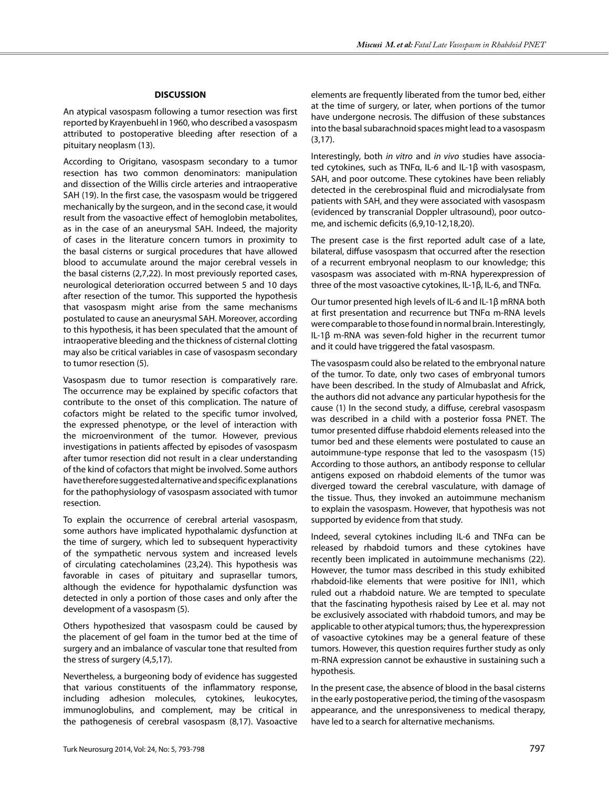### **DISCUSSION**

An atypical vasospasm following a tumor resection was first reported by Krayenbuehl in 1960, who described a vasospasm attributed to postoperative bleeding after resection of a pituitary neoplasm (13).

According to Origitano, vasospasm secondary to a tumor resection has two common denominators: manipulation and dissection of the Willis circle arteries and intraoperative SAH (19). In the first case, the vasospasm would be triggered mechanically by the surgeon, and in the second case, it would result from the vasoactive effect of hemoglobin metabolites, as in the case of an aneurysmal SAH. Indeed, the majority of cases in the literature concern tumors in proximity to the basal cisterns or surgical procedures that have allowed blood to accumulate around the major cerebral vessels in the basal cisterns (2,7,22). In most previously reported cases, neurological deterioration occurred between 5 and 10 days after resection of the tumor. This supported the hypothesis that vasospasm might arise from the same mechanisms postulated to cause an aneurysmal SAH. Moreover, according to this hypothesis, it has been speculated that the amount of intraoperative bleeding and the thickness of cisternal clotting may also be critical variables in case of vasospasm secondary to tumor resection (5).

Vasospasm due to tumor resection is comparatively rare. The occurrence may be explained by specific cofactors that contribute to the onset of this complication. The nature of cofactors might be related to the specific tumor involved, the expressed phenotype, or the level of interaction with the microenvironment of the tumor. However, previous investigations in patients affected by episodes of vasospasm after tumor resection did not result in a clear understanding of the kind of cofactors that might be involved. Some authors have therefore suggested alternative and specific explanations for the pathophysiology of vasospasm associated with tumor resection.

To explain the occurrence of cerebral arterial vasospasm, some authors have implicated hypothalamic dysfunction at the time of surgery, which led to subsequent hyperactivity of the sympathetic nervous system and increased levels of circulating catecholamines (23,24). This hypothesis was favorable in cases of pituitary and suprasellar tumors, although the evidence for hypothalamic dysfunction was detected in only a portion of those cases and only after the development of a vasospasm (5).

Others hypothesized that vasospasm could be caused by the placement of gel foam in the tumor bed at the time of surgery and an imbalance of vascular tone that resulted from the stress of surgery (4,5,17).

Nevertheless, a burgeoning body of evidence has suggested that various constituents of the inflammatory response, including adhesion molecules, cytokines, leukocytes, immunoglobulins, and complement, may be critical in the pathogenesis of cerebral vasospasm (8,17). Vasoactive elements are frequently liberated from the tumor bed, either at the time of surgery, or later, when portions of the tumor have undergone necrosis. The diffusion of these substances into the basal subarachnoid spaces might lead to a vasospasm (3,17).

Interestingly, both *in vitro* and *in vivo* studies have associated cytokines, such as TNFα, IL-6 and IL-1β with vasospasm, SAH, and poor outcome. These cytokines have been reliably detected in the cerebrospinal fluid and microdialysate from patients with SAH, and they were associated with vasospasm (evidenced by transcranial Doppler ultrasound), poor outcome, and ischemic deficits (6,9,10-12,18,20).

The present case is the first reported adult case of a late, bilateral, diffuse vasospasm that occurred after the resection of a recurrent embryonal neoplasm to our knowledge; this vasospasm was associated with m-RNA hyperexpression of three of the most vasoactive cytokines, IL-1β, IL-6, and TNFα.

Our tumor presented high levels of IL-6 and IL-1β mRNA both at first presentation and recurrence but TNFα m-RNA levels were comparable to those found in normal brain. Interestingly, IL-1β m-RNA was seven-fold higher in the recurrent tumor and it could have triggered the fatal vasospasm.

The vasospasm could also be related to the embryonal nature of the tumor. To date, only two cases of embryonal tumors have been described. In the study of Almubaslat and Africk, the authors did not advance any particular hypothesis for the cause (1) In the second study, a diffuse, cerebral vasospasm was described in a child with a posterior fossa PNET. The tumor presented diffuse rhabdoid elements released into the tumor bed and these elements were postulated to cause an autoimmune-type response that led to the vasospasm (15) According to those authors, an antibody response to cellular antigens exposed on rhabdoid elements of the tumor was diverged toward the cerebral vasculature, with damage of the tissue. Thus, they invoked an autoimmune mechanism to explain the vasospasm. However, that hypothesis was not supported by evidence from that study.

Indeed, several cytokines including IL-6 and TNFα can be released by rhabdoid tumors and these cytokines have recently been implicated in autoimmune mechanisms (22). However, the tumor mass described in this study exhibited rhabdoid-like elements that were positive for INI1, which ruled out a rhabdoid nature. We are tempted to speculate that the fascinating hypothesis raised by Lee et al. may not be exclusively associated with rhabdoid tumors, and may be applicable to other atypical tumors; thus, the hyperexpression of vasoactive cytokines may be a general feature of these tumors. However, this question requires further study as only m-RNA expression cannot be exhaustive in sustaining such a hypothesis.

In the present case, the absence of blood in the basal cisterns in the early postoperative period, the timing of the vasospasm appearance, and the unresponsiveness to medical therapy, have led to a search for alternative mechanisms.